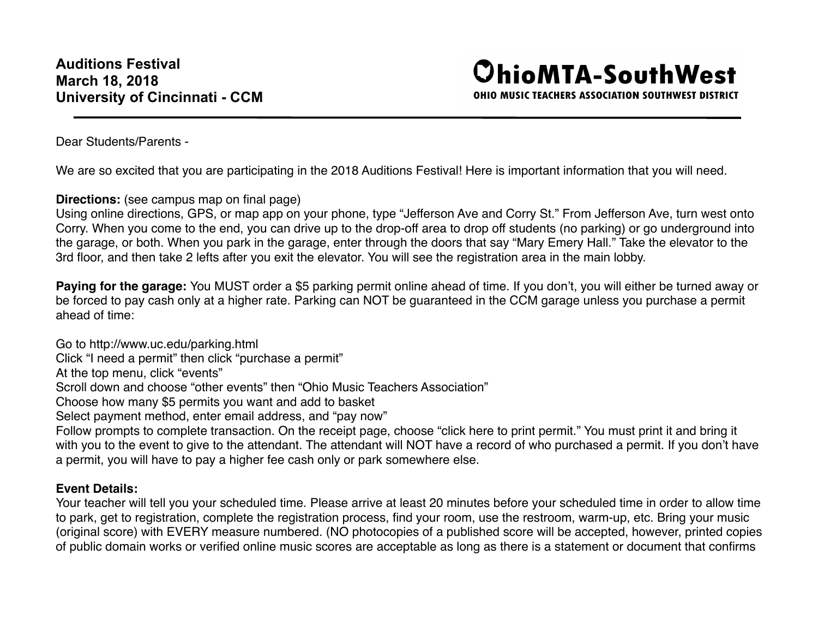## **OhioMTA-SouthWest**

OHIO MUSIC TEACHERS ASSOCIATION SOUTHWEST DISTRICT

Dear Students/Parents -

We are so excited that you are participating in the 2018 Auditions Festival! Here is important information that you will need.

**Directions:** (see campus map on final page)

Using online directions, GPS, or map app on your phone, type "Jefferson Ave and Corry St." From Jefferson Ave, turn west onto Corry. When you come to the end, you can drive up to the drop-off area to drop off students (no parking) or go underground into the garage, or both. When you park in the garage, enter through the doors that say "Mary Emery Hall." Take the elevator to the 3rd floor, and then take 2 lefts after you exit the elevator. You will see the registration area in the main lobby.

**Paying for the garage:** You MUST order a \$5 parking permit online ahead of time. If you don't, you will either be turned away or be forced to pay cash only at a higher rate. Parking can NOT be guaranteed in the CCM garage unless you purchase a permit ahead of time:

Go to http://www.uc.edu/parking.html

Click "I need a permit" then click "purchase a permit"

At the top menu, click "events"

Scroll down and choose "other events" then "Ohio Music Teachers Association"

Choose how many \$5 permits you want and add to basket

Select payment method, enter email address, and "pay now"

Follow prompts to complete transaction. On the receipt page, choose "click here to print permit." You must print it and bring it with you to the event to give to the attendant. The attendant will NOT have a record of who purchased a permit. If you don't have a permit, you will have to pay a higher fee cash only or park somewhere else.

## **Event Details:**

Your teacher will tell you your scheduled time. Please arrive at least 20 minutes before your scheduled time in order to allow time to park, get to registration, complete the registration process, find your room, use the restroom, warm-up, etc. Bring your music (original score) with EVERY measure numbered. (NO photocopies of a published score will be accepted, however, printed copies of public domain works or verified online music scores are acceptable as long as there is a statement or document that confirms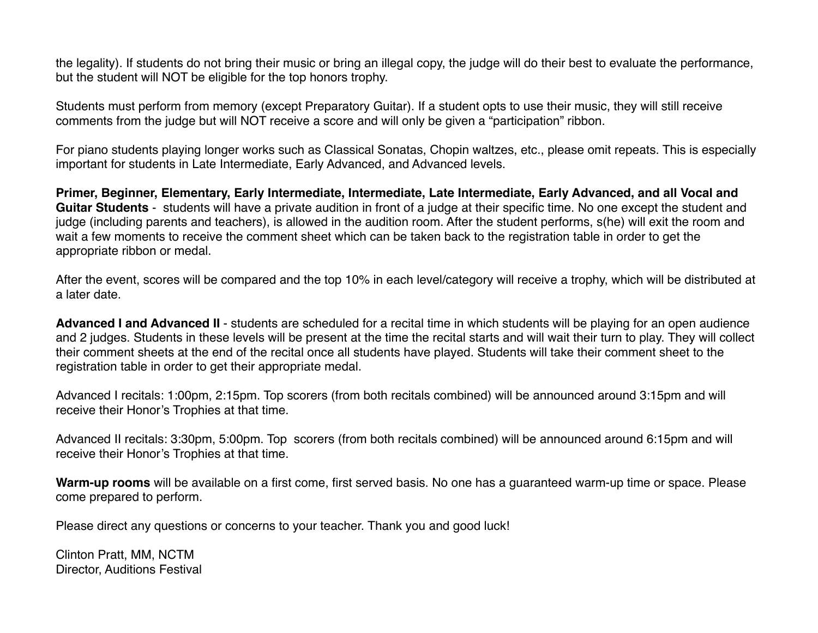the legality). If students do not bring their music or bring an illegal copy, the judge will do their best to evaluate the performance, but the student will NOT be eligible for the top honors trophy.

Students must perform from memory (except Preparatory Guitar). If a student opts to use their music, they will still receive comments from the judge but will NOT receive a score and will only be given a "participation" ribbon.

For piano students playing longer works such as Classical Sonatas, Chopin waltzes, etc., please omit repeats. This is especially important for students in Late Intermediate, Early Advanced, and Advanced levels.

**Primer, Beginner, Elementary, Early Intermediate, Intermediate, Late Intermediate, Early Advanced, and all Vocal and Guitar Students** - students will have a private audition in front of a judge at their specific time. No one except the student and judge (including parents and teachers), is allowed in the audition room. After the student performs, s(he) will exit the room and wait a few moments to receive the comment sheet which can be taken back to the registration table in order to get the appropriate ribbon or medal.

After the event, scores will be compared and the top 10% in each level/category will receive a trophy, which will be distributed at a later date.

**Advanced I and Advanced II** - students are scheduled for a recital time in which students will be playing for an open audience and 2 judges. Students in these levels will be present at the time the recital starts and will wait their turn to play. They will collect their comment sheets at the end of the recital once all students have played. Students will take their comment sheet to the registration table in order to get their appropriate medal.

Advanced I recitals: 1:00pm, 2:15pm. Top scorers (from both recitals combined) will be announced around 3:15pm and will receive their Honor's Trophies at that time.

Advanced II recitals: 3:30pm, 5:00pm. Top scorers (from both recitals combined) will be announced around 6:15pm and will receive their Honor's Trophies at that time.

**Warm-up rooms** will be available on a first come, first served basis. No one has a guaranteed warm-up time or space. Please come prepared to perform.

Please direct any questions or concerns to your teacher. Thank you and good luck!

Clinton Pratt, MM, NCTM Director, Auditions Festival